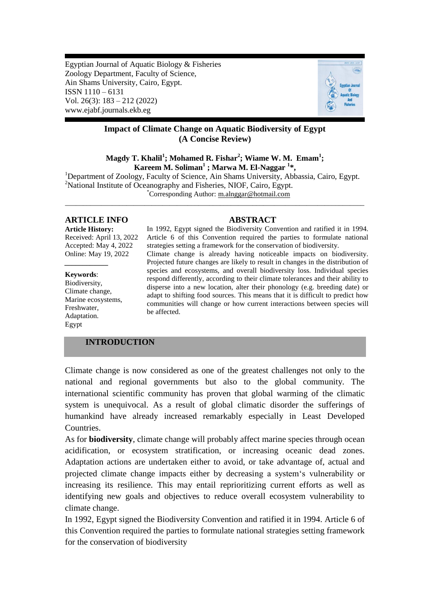Egyptian Journal of Aquatic Biology & Fisheries Zoology Department, Faculty of Science, Ain Shams University, Cairo, Egypt. ISSN 1110 – 6131 Vol. 26(3): 183 – 212 (2022) www.ejabf.journals.ekb.eg



# **Impact of Climate Change on Aquatic Biodiversity of Egypt (A Concise Review)**

# **Magdy T. Khalil<sup>1</sup> ; Mohamed R. Fishar<sup>2</sup> ; Wiame W. M. Emam<sup>1</sup> ; Kareem M. Soliman<sup>1</sup> ; Marwa M. El-Naggar <sup>1</sup> \*,**

<sup>1</sup>Department of Zoology, Faculty of Science, Ain Shams University, Abbassia, Cairo, Egypt. <sup>2</sup>National Institute of Oceanography and Fisheries, NIOF, Cairo, Egypt. \*Corresponding Author: [m.alnggar@hotmail.com](mailto:m.alnggar@hotmail.com)

\_\_\_\_\_\_\_\_\_\_\_\_\_\_\_\_\_\_\_\_\_\_\_\_\_\_\_\_\_\_\_\_\_\_\_\_\_\_\_\_\_\_\_\_\_\_\_\_\_\_\_\_\_\_\_\_\_\_\_\_\_\_\_\_\_\_\_\_\_\_\_\_\_\_\_\_\_\_\_\_\_\_\_

# **ARTICLE INFO ABSTRACT**

**Article History:** Received: April 13, 2022 Accepted: May 4, 2022 Online: May 19, 2022

**Keywords**:

*\_\_\_\_\_\_\_\_\_\_\_\_*

Biodiversity, Climate change, Marine ecosystems, Freshwater, Adaptation. Egypt

In 1992, Egypt signed the Biodiversity Convention and ratified it in 1994. Article 6 of this Convention required the parties to formulate national strategies setting a framework for the conservation of biodiversity. Climate change is already having noticeable impacts on biodiversity. Projected future changes are likely to result in changes in the distribution of species and ecosystems, and overall biodiversity loss. Individual species respond differently, according to their climate tolerances and their ability to disperse into a new location, alter their phonology (e.g. breeding date) or adapt to shifting food sources. This means that it is difficult to predict how communities will change or how current interactions between species will be affected.

# **INTRODUCTION**

Climate change is now considered as one of the greatest challenges not only to the national and regional governments but also to the global community. The international scientific community has proven that global warming of the climatic system is unequivocal. As a result of global climatic disorder the sufferings of humankind have already increased remarkably especially in Least Developed Countries.

As for **biodiversity**, climate change will probably affect marine species through ocean acidification, or ecosystem stratification, or increasing oceanic dead zones. Adaptation actions are undertaken either to avoid, or take advantage of, actual and projected climate change impacts either by decreasing a system"s vulnerability or increasing its resilience. This may entail reprioritizing current efforts as well as identifying new goals and objectives to reduce overall ecosystem vulnerability to climate change.

In 1992, Egypt signed the Biodiversity Convention and ratified it in 1994. Article 6 of this Convention required the parties to formulate national strategies setting framework for the conservation of biodiversity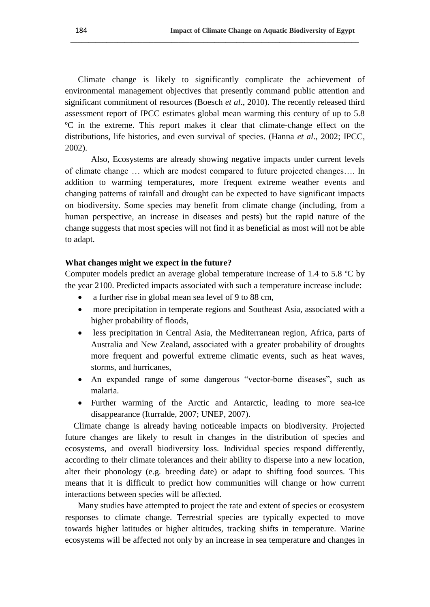Climate change is likely to significantly complicate the achievement of environmental management objectives that presently command public attention and significant commitment of resources (Boesch *et al*., 2010). The recently released third assessment report of IPCC estimates global mean warming this century of up to 5.8 ºC in the extreme. This report makes it clear that climate-change effect on the distributions, life histories, and even survival of species. (Hanna *et al*., 2002; IPCC, 2002).

**\_\_\_\_\_\_\_\_\_\_\_\_\_\_\_\_\_\_\_\_\_\_\_\_\_\_\_\_\_\_\_\_\_\_\_\_\_\_\_\_\_\_\_\_\_\_\_\_\_\_\_\_\_\_\_\_\_\_\_\_\_\_\_\_\_\_\_\_\_\_\_\_\_\_\_\_\_\_\_\_**

Also, Ecosystems are already showing negative impacts under current levels of climate change … which are modest compared to future projected changes…. In addition to warming temperatures, more frequent extreme weather events and changing patterns of rainfall and drought can be expected to have significant impacts on biodiversity. Some species may benefit from climate change (including, from a human perspective, an [increase in diseases and pests\)](http://www.globalissues.org/article/233/climate-change-and-global-warming-introduction) but the rapid nature of the change suggests that most species will not find it as beneficial as most will not be able to adapt.

# **What changes might we expect in the future?**

Computer models predict an average global temperature increase of 1.4 to 5.8 ºC by the year 2100. Predicted impacts associated with such a temperature increase include:

- a further rise in global mean sea level of 9 to 88 cm,
- more precipitation in temperate regions and Southeast Asia, associated with a higher probability of floods,
- less precipitation in Central Asia, the Mediterranean region, Africa, parts of Australia and New Zealand, associated with a greater probability of droughts more frequent and powerful extreme climatic events, such as heat waves, storms, and hurricanes,
- An expanded range of some dangerous "vector-borne diseases", such as malaria.
- Further warming of the Arctic and Antarctic, leading to more sea-ice disappearance (Iturralde, 2007; UNEP, 2007).

 Climate change is already having noticeable impacts on biodiversity. Projected future changes are likely to result in changes in the distribution of species and ecosystems, and overall biodiversity loss. Individual species respond differently, according to their climate tolerances and their ability to disperse into a new location, alter their phonology (e.g. breeding date) or adapt to shifting food sources. This means that it is difficult to predict how communities will change or how current interactions between species will be affected.

Many studies have attempted to project the rate and extent of species or ecosystem responses to climate change. Terrestrial species are typically expected to move towards higher latitudes or higher altitudes, tracking shifts in temperature. Marine ecosystems will be affected not only by an increase in sea temperature and changes in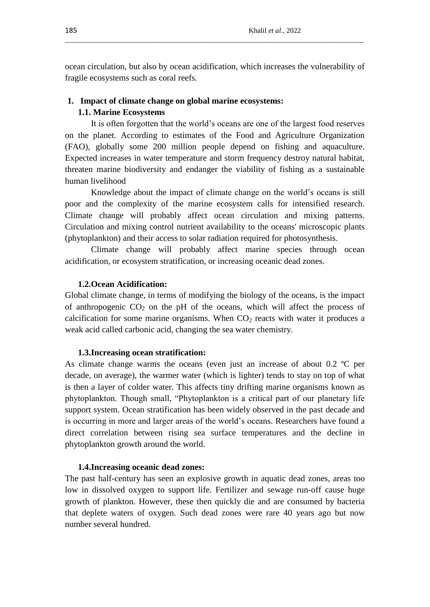ocean circulation, but also by ocean acidification, which increases the vulnerability of fragile ecosystems such as coral reefs.

\_\_\_\_\_\_\_\_\_\_\_\_\_\_\_\_\_\_\_\_\_\_\_\_\_\_\_\_\_\_\_\_\_\_\_\_\_\_\_\_\_\_\_\_\_\_\_\_\_\_\_\_\_\_\_\_\_\_\_\_\_\_\_\_\_\_\_\_\_\_\_\_\_\_\_\_\_\_\_\_\_\_\_

# **1. Impact of climate change on global marine ecosystems:**

#### **1.1. Marine Ecosystems**

It is often forgotten that the world"s oceans are one of the largest food reserves on the planet. According to estimates of the Food and Agriculture Organization (FAO), globally some 200 million people depend on fishing and aquaculture. Expected increases in water temperature and storm frequency destroy natural habitat, threaten marine biodiversity and endanger the viability of fishing as a sustainable human livelihood

Knowledge about the impact of climate change on the world"s oceans is still poor and the complexity of the marine ecosystem calls for intensified research. Climate change will probably affect ocean circulation and mixing patterns. Circulation and mixing control nutrient availability to the oceans' microscopic plants (phytoplankton) and their access to solar radiation required for photosynthesis.

Climate change will probably affect marine species through ocean acidification, or ecosystem stratification, or increasing oceanic dead zones.

# **1.2.Ocean Acidification:**

Global climate change, in terms of modifying the biology of the oceans, is the impact of anthropogenic  $CO<sub>2</sub>$  on the pH of the oceans, which will affect the process of calcification for some marine organisms. When  $CO<sub>2</sub>$  reacts with water it produces a weak acid called carbonic acid, changing the sea water chemistry.

#### **1.3.Increasing ocean stratification:**

As climate change warms the oceans (even just an increase of about 0.2 ºC per decade, on average), the warmer water (which is lighter) tends to stay on top of what is then a layer of colder water. This affects tiny drifting marine organisms known as phytoplankton. Though small, "Phytoplankton is a critical part of our planetary life support system. [Ocean stratification has been widely observed in the past decade and](http://www.ipsnews.net/news.asp?idnews=52343)  [is occurring in more and larger areas of the world"s oceans.](http://www.ipsnews.net/news.asp?idnews=52343) Researchers have found a direct correlation between rising sea surface temperatures and the decline in phytoplankton growth around the world.

#### **1.4.Increasing oceanic dead zones:**

The past half-century has seen an [explosive growth in aquatic dead zones,](http://earthobservatory.nasa.gov/IOTD/view.php?id=44677) areas too low in dissolved oxygen to support life. Fertilizer and sewage run-off cause huge growth of plankton. However, these then quickly die and are consumed by bacteria that deplete waters of oxygen. Such dead zones were rare 40 years ago but now number several hundred.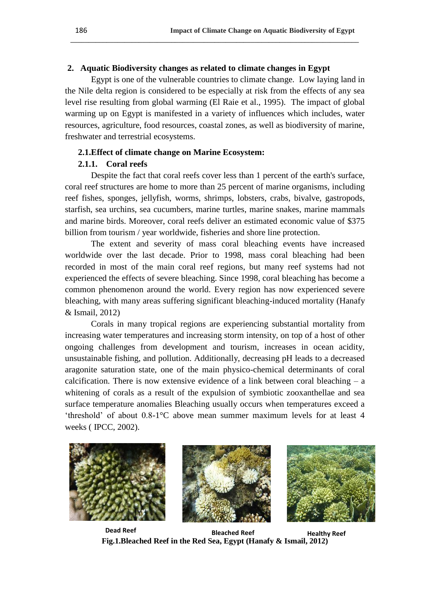# **2. Aquatic Biodiversity changes as related to climate changes in Egypt**

Egypt is one of the vulnerable countries to climate change. Low laying land in the Nile delta region is considered to be especially at risk from the effects of any sea level rise resulting from global warming (El Raie et al., 1995). The impact of global warming up on Egypt is manifested in a variety of influences which includes, water resources, agriculture, food resources, coastal zones, as well as biodiversity of marine, freshwater and terrestrial ecosystems.

**\_\_\_\_\_\_\_\_\_\_\_\_\_\_\_\_\_\_\_\_\_\_\_\_\_\_\_\_\_\_\_\_\_\_\_\_\_\_\_\_\_\_\_\_\_\_\_\_\_\_\_\_\_\_\_\_\_\_\_\_\_\_\_\_\_\_\_\_\_\_\_\_\_\_\_\_\_\_\_\_**

# **2.1.Effect of climate change on Marine Ecosystem:**

# **2.1.1. Coral reefs**

Despite the fact that coral reefs cover less than 1 percent of the earth's surface, coral reef structures are home to more than 25 percent of marine organisms, including reef fishes, sponges, jellyfish, worms, shrimps, lobsters, crabs, bivalve, gastropods, starfish, sea urchins, sea cucumbers, marine turtles, marine snakes, marine mammals and marine birds. Moreover, coral reefs deliver an estimated economic value of \$375 billion from tourism / year worldwide, fisheries and shore line protection.

The extent and severity of mass coral bleaching events have increased worldwide over the last decade. Prior to 1998, mass coral bleaching had been recorded in most of the main coral reef regions, but many reef systems had not experienced the effects of severe bleaching. Since 1998, coral bleaching has become a common phenomenon around the world. Every region has now experienced severe bleaching, with many areas suffering significant bleaching-induced mortality (Hanafy & Ismail, 2012)

Corals in many tropical regions are experiencing substantial mortality from increasing water temperatures and increasing storm intensity, on top of a host of other ongoing challenges from development and tourism, increases in ocean acidity, unsustainable fishing, and pollution. Additionally, decreasing pH leads to a decreased aragonite saturation state, one of the main physico-chemical determinants of coral calcification. There is now extensive evidence of a link between coral bleaching  $- a$ whitening of corals as a result of the expulsion of symbiotic zooxanthellae and sea surface temperature anomalies Bleaching usually occurs when temperatures exceed a 'threshold' of about  $0.8{\text -}1^{\circ}\text{C}$  above mean summer maximum levels for at least 4 weeks ( IPCC, 2002).







**Bleached Reef Healthy Reef Dead Reef Fig.1.Bleached Reef in the Red Sea, Egypt (Hanafy & Ismail, 2012)**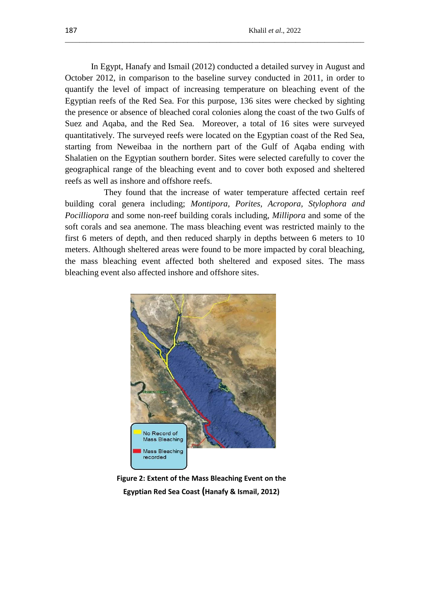In Egypt, Hanafy and Ismail (2012) conducted a detailed survey in August and October 2012, in comparison to the baseline survey conducted in 2011, in order to quantify the level of impact of increasing temperature on bleaching event of the Egyptian reefs of the Red Sea. For this purpose, 136 sites were checked by sighting the presence or absence of bleached coral colonies along the coast of the two Gulfs of Suez and Aqaba, and the Red Sea. Moreover, a total of 16 sites were surveyed quantitatively. The surveyed reefs were located on the Egyptian coast of the Red Sea, starting from Neweibaa in the northern part of the Gulf of Aqaba ending with Shalatien on the Egyptian southern border. Sites were selected carefully to cover the geographical range of the bleaching event and to cover both exposed and sheltered reefs as well as inshore and offshore reefs.

\_\_\_\_\_\_\_\_\_\_\_\_\_\_\_\_\_\_\_\_\_\_\_\_\_\_\_\_\_\_\_\_\_\_\_\_\_\_\_\_\_\_\_\_\_\_\_\_\_\_\_\_\_\_\_\_\_\_\_\_\_\_\_\_\_\_\_\_\_\_\_\_\_\_\_\_\_\_\_\_\_\_\_

They found that the increase of water temperature affected certain reef building coral genera including; *Montipora, Porites, Acropora, Stylophora and Pocilliopora* and some non-reef building corals including, *Millipora* and some of the soft corals and sea anemone. The mass bleaching event was restricted mainly to the first 6 meters of depth, and then reduced sharply in depths between 6 meters to 10 meters. Although sheltered areas were found to be more impacted by coral bleaching, the mass bleaching event affected both sheltered and exposed sites. The mass bleaching event also affected inshore and offshore sites.



**Figure 2: Extent of the Mass Bleaching Event on the Egyptian Red Sea Coast (Hanafy & Ismail, 2012)**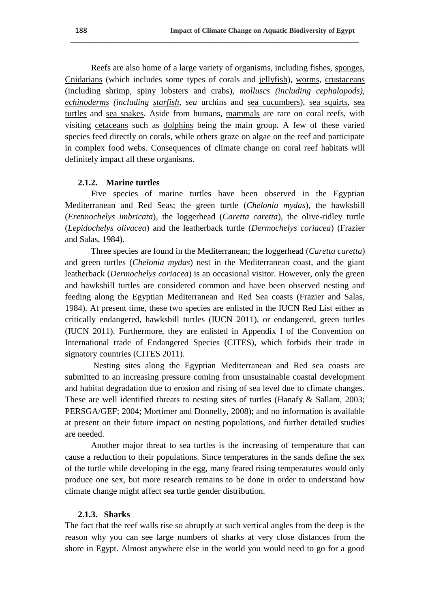Reefs are also home of a large variety of organisms, including fishes, [sponges,](http://en.wikipedia.org/wiki/Sea_sponge) [Cnidarians](http://en.wikipedia.org/wiki/Cnidaria) (which includes some types of corals and [jellyfish\)](http://en.wikipedia.org/wiki/Jellyfish), [worms,](http://en.wikipedia.org/wiki/Worm) [crustaceans](http://en.wikipedia.org/wiki/Crustacean) (including [shrimp,](http://en.wikipedia.org/wiki/Shrimp) [spiny lobsters](http://en.wikipedia.org/wiki/Spiny_lobster) and [crabs\)](http://en.wikipedia.org/wiki/Crab), *[molluscs](http://en.wikipedia.org/wiki/Mollusc) (including [cephalopods\)](http://en.wikipedia.org/wiki/Cephalopod), [echinoderms](http://en.wikipedia.org/wiki/Echinoderm) (including [starfish,](http://en.wikipedia.org/wiki/Starfish) sea* urchins and [sea cucumbers\)](http://en.wikipedia.org/wiki/Sea_cucumber), [sea squirts,](http://en.wikipedia.org/wiki/Sea_squirt) [sea](http://en.wikipedia.org/wiki/Sea_turtle)  [turtles](http://en.wikipedia.org/wiki/Sea_turtle) and [sea snakes.](http://en.wikipedia.org/wiki/Sea_snake) Aside from humans, [mammals](http://en.wikipedia.org/wiki/Mammal) are rare on coral reefs, with visiting [cetaceans](http://en.wikipedia.org/wiki/Cetacean) such as [dolphins](http://en.wikipedia.org/wiki/Dolphin) being the main group. A few of these varied species feed directly on corals, while others graze on algae on the reef and participate in complex [food webs.](http://en.wikipedia.org/wiki/Food_web) Consequences of climate change on coral reef habitats will definitely impact all these organisms.

**\_\_\_\_\_\_\_\_\_\_\_\_\_\_\_\_\_\_\_\_\_\_\_\_\_\_\_\_\_\_\_\_\_\_\_\_\_\_\_\_\_\_\_\_\_\_\_\_\_\_\_\_\_\_\_\_\_\_\_\_\_\_\_\_\_\_\_\_\_\_\_\_\_\_\_\_\_\_\_\_**

#### **2.1.2. Marine turtles**

Five species of marine turtles have been observed in the Egyptian Mediterranean and Red Seas; the green turtle (*Chelonia mydas*), the hawksbill (*Eretmochelys imbricata*), the loggerhead (*Caretta caretta*), the olive-ridley turtle (*Lepidochelys olivacea*) and the leatherback turtle (*Dermochelys coriacea*) (Frazier and Salas, 1984).

Three species are found in the Mediterranean; the loggerhead (*Caretta caretta*) and green turtles (*Chelonia mydas*) nest in the Mediterranean coast, and the giant leatherback (*Dermochelys coriacea*) is an occasional visitor. However, only the green and hawksbill turtles are considered common and have been observed nesting and feeding along the Egyptian Mediterranean and Red Sea coasts (Frazier and Salas, 1984). At present time, these two species are enlisted in the IUCN Red List either as critically endangered, hawksbill turtles (IUCN 2011), or endangered, green turtles (IUCN 2011). Furthermore, they are enlisted in Appendix I of the Convention on International trade of Endangered Species (CITES), which forbids their trade in signatory countries (CITES 2011).

Nesting sites along the Egyptian Mediterranean and Red sea coasts are submitted to an increasing pressure coming from unsustainable coastal development and habitat degradation due to erosion and rising of sea level due to climate changes. These are well identified threats to nesting sites of turtles (Hanafy & Sallam, 2003; PERSGA/GEF; 2004; Mortimer and Donnelly, 2008); and no information is available at present on their future impact on nesting populations, and further detailed studies are needed.

Another major threat to sea turtles is the increasing of temperature that can cause a reduction to their populations. Since temperatures in the sands define the sex of the turtle while developing in the egg, many feared rising temperatures would only produce one sex, but more research remains to be done in order to understand how climate change might affect sea turtle gender distribution.

#### **2.1.3. Sharks**

The fact that the reef walls rise so abruptly at such vertical angles from the deep is the reason why you can see large numbers of sharks at very close distances from the shore in Egypt. Almost anywhere else in the world you would need to go for a good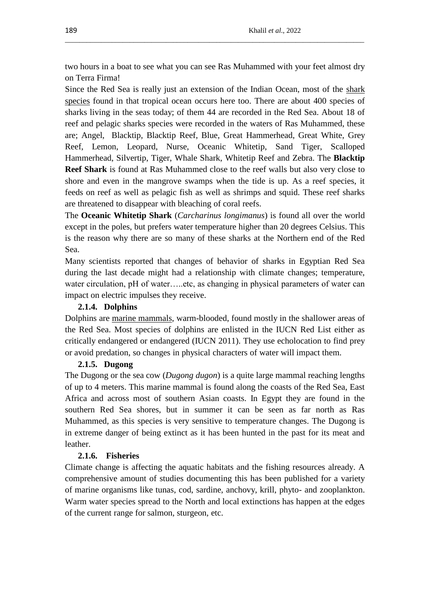two hours in a boat to see what you can see Ras Muhammed with your feet almost dry on Terra Firma!

\_\_\_\_\_\_\_\_\_\_\_\_\_\_\_\_\_\_\_\_\_\_\_\_\_\_\_\_\_\_\_\_\_\_\_\_\_\_\_\_\_\_\_\_\_\_\_\_\_\_\_\_\_\_\_\_\_\_\_\_\_\_\_\_\_\_\_\_\_\_\_\_\_\_\_\_\_\_\_\_\_\_\_

Since the Red Sea is really just an extension of the Indian Ocean, most of the shark [species](http://rasmohamed.com/rasita6a.html) found in that tropical ocean occurs here too. There are about 400 species of sharks living in the seas today; of them 44 are recorded in the Red Sea. About 18 of reef and pelagic sharks species were recorded in the waters of Ras Muhammed, these are; [Angel,](http://rasmohamed.com/rasita6a.html#angel#angel) [Blacktip,](http://rasmohamed.com/rasita6a.html#bt#bt) [Blacktip Reef,](http://rasmohamed.com/rasita6a.html#btr#btr) [Blue,](http://rasmohamed.com/rasita6a.html#blu#blu) [Great Hammerhead,](http://rasmohamed.com/rasita6a.html#gh#gh) [Great White,](http://rasmohamed.com/rasita6a.html#gw#gw) [Grey](http://rasmohamed.com/rasita6a.html#gr#gr)  [Reef,](http://rasmohamed.com/rasita6a.html#gr#gr) Lemon, [Leopard,](http://rasmohamed.com/rasita6a.html#leopard#leopard) [Nurse,](http://rasmohamed.com/rasita6a.html#nurse#nurse) [Oceanic Whitetip,](http://rasmohamed.com/rasita6a.html#owt#owt) [Sand Tiger,](http://rasmohamed.com/rasita6a.html#st#st) [Scalloped](http://rasmohamed.com/rasita6a.html#sh#sh)  [Hammerhead,](http://rasmohamed.com/rasita6a.html#sh#sh) [Silvertip,](http://rasmohamed.com/rasita6a.html#st#st) [Tiger,](http://rasmohamed.com/rasita6a.html#ts#ts) [Whale Shark,](http://rasmohamed.com/rasita6a.html#ws#ws) [Whitetip Reef](http://rasmohamed.com/rasita6a.html#wt#wt) and [Zebra.](http://rasmohamed.com/rasita6a.html#zebra#zebra) The **Blacktip Reef Shark** is found at Ras Muhammed close to the reef walls but also very close to shore and even in the mangrove swamps when the tide is up. As a reef species, it feeds on reef as well as pelagic fish as well as shrimps and squid. These reef sharks are threatened to disappear with bleaching of coral reefs.

The **Oceanic Whitetip Shark** (*Carcharinus longimanus*) is found all over the world except in the poles, but prefers water temperature higher than 20 degrees Celsius. This is the reason why there are so many of these sharks at the Northern end of the Red Sea.

Many scientists reported that changes of behavior of sharks in Egyptian Red Sea during the last decade might had a relationship with climate changes; temperature, water circulation, pH of water…..etc, as changing in physical parameters of water can impact on electric impulses they receive.

# **2.1.4. Dolphins**

Dolphins are [marine mammals,](http://en.wikipedia.org/wiki/Marine_mammal) warm-blooded, found mostly in the shallower areas of the Red Sea. Most species of dolphins are enlisted in the IUCN Red List either as critically endangered or endangered (IUCN 2011). They use echolocation to find prey or avoid predation, so changes in physical characters of water will impact them.

# **2.1.5. Dugong**

The Dugong or the sea cow (*Dugong dugon*) is a quite large mammal reaching lengths of up to 4 meters. This marine mammal is found along the coasts of the Red Sea, East Africa and across most of southern Asian coasts. In Egypt they are found in the southern Red Sea shores, but in summer it can be seen as far north as Ras Muhammed, as this species is very sensitive to temperature changes. The Dugong is in extreme danger of being extinct as it has been hunted in the past for its meat and leather.

# **2.1.6. Fisheries**

Climate change is affecting the aquatic habitats and the fishing resources already. A comprehensive amount of studies documenting this has been published for a variety of marine organisms like tunas, cod, sardine, anchovy, krill, phyto- and zooplankton. Warm water species spread to the North and local extinctions has happen at the edges of the current range for salmon, sturgeon, etc.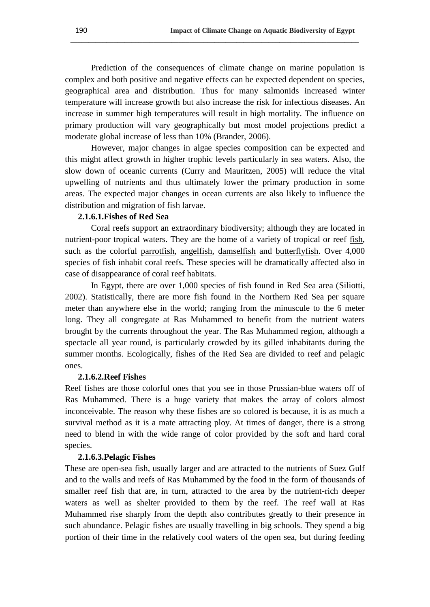Prediction of the consequences of climate change on marine population is complex and both positive and negative effects can be expected dependent on species, geographical area and distribution. Thus for many salmonids increased winter temperature will increase growth but also increase the risk for infectious diseases. An increase in summer high temperatures will result in high mortality. The influence on primary production will vary geographically but most model projections predict a moderate global increase of less than 10% (Brander, 2006).

**\_\_\_\_\_\_\_\_\_\_\_\_\_\_\_\_\_\_\_\_\_\_\_\_\_\_\_\_\_\_\_\_\_\_\_\_\_\_\_\_\_\_\_\_\_\_\_\_\_\_\_\_\_\_\_\_\_\_\_\_\_\_\_\_\_\_\_\_\_\_\_\_\_\_\_\_\_\_\_\_**

However, major changes in algae species composition can be expected and this might affect growth in higher trophic levels particularly in sea waters. Also, the slow down of oceanic currents (Curry and Mauritzen, 2005) will reduce the vital upwelling of nutrients and thus ultimately lower the primary production in some areas. The expected major changes in ocean currents are also likely to influence the distribution and migration of fish larvae.

# **2.1.6.1.Fishes of Red Sea**

Coral reefs support an extraordinary [biodiversity;](http://en.wikipedia.org/wiki/Biodiversity) although they are located in nutrient-poor tropical waters. They are the home of a variety of tropical or reef [fish,](http://en.wikipedia.org/wiki/Fish) such as the colorful [parrotfish,](http://en.wikipedia.org/wiki/Parrotfish) [angelfish,](http://en.wikipedia.org/wiki/Marine_angelfish_group) [damselfish](http://en.wikipedia.org/wiki/Damselfish) and [butterflyfish.](http://en.wikipedia.org/wiki/Butterflyfish) Over 4,000 species of fish inhabit coral reefs. These species will be dramatically affected also in case of disappearance of coral reef habitats.

In Egypt, there are over 1,000 species of fish found in Red Sea area (Siliotti, 2002). Statistically, there are more fish found in the Northern Red Sea per square meter than anywhere else in the world; ranging from the minuscule to the 6 meter long. They all congregate at Ras Muhammed to benefit from the nutrient waters brought by the currents throughout the year. The Ras Muhammed region, although a spectacle all year round, is particularly crowded by its gilled inhabitants during the summer months. Ecologically, fishes of the Red Sea are divided to reef and pelagic ones.

#### **2.1.6.2.Reef Fishes**

Reef fishes are those colorful ones that you see in those Prussian-blue waters off of Ras Muhammed. There is a huge variety that makes the array of colors almost inconceivable. The reason why these fishes are so colored is because, it is as much a survival method as it is a mate attracting ploy. At times of danger, there is a strong need to blend in with the wide range of color provided by the soft and hard coral species.

# **2.1.6.3.Pelagic Fishes**

These are open-sea fish, usually larger and are attracted to the nutrients of Suez Gulf and to the walls and reefs of Ras Muhammed by the food in the form of thousands of smaller reef fish that are, in turn, attracted to the area by the nutrient-rich deeper waters as well as shelter provided to them by the reef. The reef wall at Ras Muhammed rise sharply from the depth also contributes greatly to their presence in such abundance. Pelagic fishes are usually travelling in big schools. They spend a big portion of their time in the relatively cool waters of the open sea, but during feeding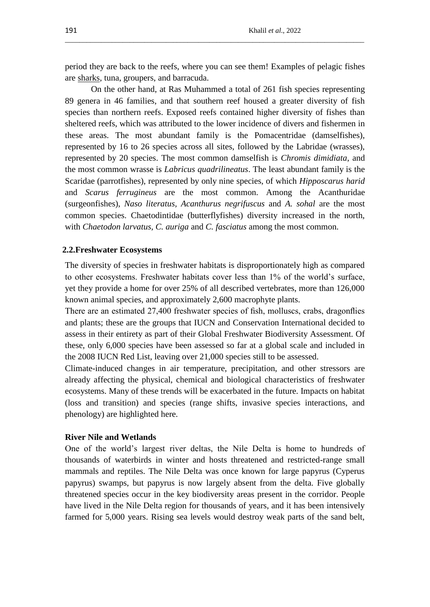period they are back to the reefs, where you can see them! Examples of pelagic fishes are [sharks,](http://rasmohamed.com/rasita6.html) tuna, groupers, and barracuda.

\_\_\_\_\_\_\_\_\_\_\_\_\_\_\_\_\_\_\_\_\_\_\_\_\_\_\_\_\_\_\_\_\_\_\_\_\_\_\_\_\_\_\_\_\_\_\_\_\_\_\_\_\_\_\_\_\_\_\_\_\_\_\_\_\_\_\_\_\_\_\_\_\_\_\_\_\_\_\_\_\_\_\_

On the other hand, at Ras Muhammed a total of 261 fish species representing 89 genera in 46 families, and that southern reef housed a greater diversity of fish species than northern reefs. Exposed reefs contained higher diversity of fishes than sheltered reefs, which was attributed to the lower incidence of divers and fishermen in these areas. The most abundant family is the Pomacentridae (damselfishes), represented by 16 to 26 species across all sites, followed by the Labridae (wrasses), represented by 20 species. The most common damselfish is *Chromis dimidiata*, and the most common wrasse is *Labricus quadrilineatus*. The least abundant family is the Scaridae (parrotfishes), represented by only nine species, of which *Hipposcarus harid* and *Scarus ferrugineus* are the most common. Among the Acanthuridae (surgeonfishes), *Naso literatus, Acanthurus negrifuscus* and *A. sohal* are the most common species. Chaetodintidae (butterflyfishes) diversity increased in the north, with *Chaetodon larvatus, C. auriga* and *C. fasciatus* among the most common.

### **2.2.Freshwater Ecosystems**

The diversity of species in freshwater habitats is disproportionately high as compared to other ecosystems. Freshwater habitats cover less than 1% of the world"s surface, yet they provide a home for over 25% of all described vertebrates, more than 126,000 known animal species, and approximately 2,600 macrophyte plants.

There are an estimated 27,400 freshwater species of fish, molluscs, crabs, dragonflies and plants; these are the groups that IUCN and Conservation International decided to assess in their entirety as part of their Global Freshwater Biodiversity Assessment. Of these, only 6,000 species have been assessed so far at a global scale and included in the 2008 IUCN Red List, leaving over 21,000 species still to be assessed.

Climate-induced changes in air temperature, precipitation, and other stressors are already affecting the physical, chemical and biological characteristics of freshwater ecosystems. Many of these trends will be exacerbated in the future. Impacts on habitat (loss and transition) and species (range shifts, invasive species interactions, and phenology) are highlighted here.

#### **River Nile and Wetlands**

One of the world"s largest river deltas, the Nile Delta is home to hundreds of thousands of waterbirds in winter and hosts threatened and restricted-range small mammals and reptiles. The Nile Delta was once known for large papyrus (Cyperus papyrus) swamps, but papyrus is now largely absent from the delta. Five globally threatened species occur in the key biodiversity areas present in the corridor. People have lived in the Nile Delta region for thousands of years, and it has been intensively farmed for 5,000 years. Rising sea levels would destroy weak parts of the sand belt,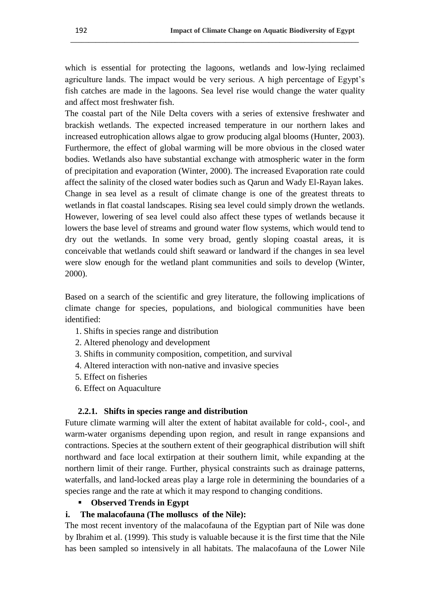which is essential for protecting the lagoons, wetlands and low-lying reclaimed agriculture lands. The impact would be very serious. A high percentage of Egypt"s fish catches are made in the lagoons. Sea level rise would change the water quality and affect most freshwater fish.

**\_\_\_\_\_\_\_\_\_\_\_\_\_\_\_\_\_\_\_\_\_\_\_\_\_\_\_\_\_\_\_\_\_\_\_\_\_\_\_\_\_\_\_\_\_\_\_\_\_\_\_\_\_\_\_\_\_\_\_\_\_\_\_\_\_\_\_\_\_\_\_\_\_\_\_\_\_\_\_\_**

The coastal part of the Nile Delta covers with a series of extensive freshwater and brackish wetlands. The expected increased temperature in our northern lakes and increased eutrophication allows algae to grow producing algal blooms (Hunter, 2003). Furthermore, the effect of global warming will be more obvious in the closed water bodies. Wetlands also have substantial exchange with atmospheric water in the form of precipitation and evaporation (Winter, 2000). The increased Evaporation rate could affect the salinity of the closed water bodies such as Qarun and Wady El-Rayan lakes. Change in sea level as a result of climate change is one of the greatest threats to wetlands in flat coastal landscapes. Rising sea level could simply drown the wetlands. However, lowering of sea level could also affect these types of wetlands because it lowers the base level of streams and ground water flow systems, which would tend to dry out the wetlands. In some very broad, gently sloping coastal areas, it is conceivable that wetlands could shift seaward or landward if the changes in sea level were slow enough for the wetland plant communities and soils to develop (Winter, 2000).

Based on a search of the scientific and grey literature, the following implications of climate change for species, populations, and biological communities have been identified:

- 1. Shifts in species range and distribution
- 2. Altered phenology and development
- 3. Shifts in community composition, competition, and survival
- 4. Altered interaction with non-native and invasive species
- 5. Effect on fisheries
- 6. Effect on Aquaculture

## **2.2.1. Shifts in species range and distribution**

Future climate warming will alter the extent of habitat available for cold-, cool-, and warm-water organisms depending upon region, and result in range expansions and contractions. Species at the southern extent of their geographical distribution will shift northward and face local extirpation at their southern limit, while expanding at the northern limit of their range. Further, physical constraints such as drainage patterns, waterfalls, and land-locked areas play a large role in determining the boundaries of a species range and the rate at which it may respond to changing conditions.

**Observed Trends in Egypt** 

## **i. The malacofauna (The molluscs of the Nile):**

The most recent inventory of the malacofauna of the Egyptian part of Nile was done by Ibrahim et al. (1999). This study is valuable because it is the first time that the Nile has been sampled so intensively in all habitats. The malacofauna of the Lower Nile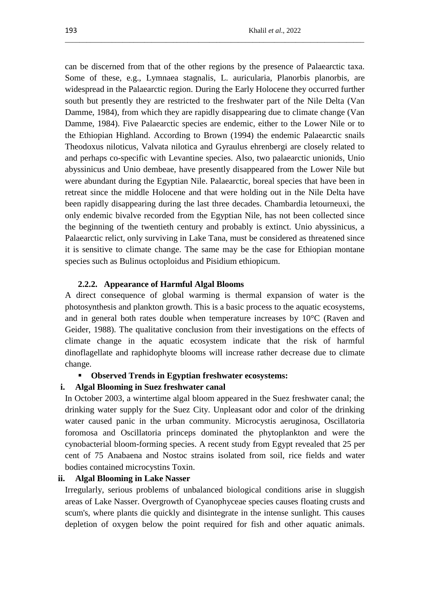can be discerned from that of the other regions by the presence of Palaearctic taxa. Some of these, e.g., Lymnaea stagnalis, L. auricularia, Planorbis planorbis, are widespread in the Palaearctic region. During the Early Holocene they occurred further south but presently they are restricted to the freshwater part of the Nile Delta (Van Damme, 1984), from which they are rapidly disappearing due to climate change (Van Damme, 1984). Five Palaearctic species are endemic, either to the Lower Nile or to the Ethiopian Highland. According to Brown (1994) the endemic Palaearctic snails Theodoxus niloticus, Valvata nilotica and Gyraulus ehrenbergi are closely related to and perhaps co-specific with Levantine species. Also, two palaearctic unionids, Unio abyssinicus and Unio dembeae, have presently disappeared from the Lower Nile but were abundant during the Egyptian Nile. Palaearctic, boreal species that have been in retreat since the middle Holocene and that were holding out in the Nile Delta have been rapidly disappearing during the last three decades. Chambardia letourneuxi, the only endemic bivalve recorded from the Egyptian Nile, has not been collected since the beginning of the twentieth century and probably is extinct. Unio abyssinicus, a Palaearctic relict, only surviving in Lake Tana, must be considered as threatened since it is sensitive to climate change. The same may be the case for Ethiopian montane species such as Bulinus octoploidus and Pisidium ethiopicum.

\_\_\_\_\_\_\_\_\_\_\_\_\_\_\_\_\_\_\_\_\_\_\_\_\_\_\_\_\_\_\_\_\_\_\_\_\_\_\_\_\_\_\_\_\_\_\_\_\_\_\_\_\_\_\_\_\_\_\_\_\_\_\_\_\_\_\_\_\_\_\_\_\_\_\_\_\_\_\_\_\_\_\_

## **2.2.2. Appearance of Harmful Algal Blooms**

A direct consequence of global warming is thermal expansion of water is the photosynthesis and plankton growth. This is a basic process to the aquatic ecosystems, and in general both rates double when temperature increases by  $10^{\circ}$ C (Raven and Geider, 1988). The qualitative conclusion from their investigations on the effects of climate change in the aquatic ecosystem indicate that the risk of harmful dinoflagellate and raphidophyte blooms will increase rather decrease due to climate change.

# **Observed Trends in Egyptian freshwater ecosystems:**

#### **i. Algal Blooming in Suez freshwater canal**

In October 2003, a wintertime algal bloom appeared in the Suez freshwater canal; the drinking water supply for the Suez City. Unpleasant odor and color of the drinking water caused panic in the urban community. Microcystis aeruginosa, Oscillatoria foromosa and Oscillatoria princeps dominated the phytoplankton and were the cynobacterial bloom-forming species. A recent study from Egypt revealed that 25 per cent of 75 Anabaena and Nostoc strains isolated from soil, rice fields and water bodies contained microcystins Toxin.

## **ii. Algal Blooming in Lake Nasser**

Irregularly, serious problems of unbalanced biological conditions arise in sluggish areas of Lake Nasser. Overgrowth of Cyanophyceae species causes floating crusts and scum's, where plants die quickly and disintegrate in the intense sunlight. This causes depletion of oxygen below the point required for fish and other aquatic animals.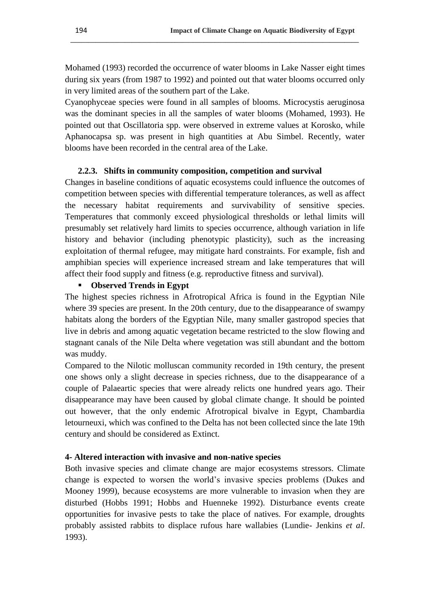Mohamed (1993) recorded the occurrence of water blooms in Lake Nasser eight times during six years (from 1987 to 1992) and pointed out that water blooms occurred only in very limited areas of the southern part of the Lake.

**\_\_\_\_\_\_\_\_\_\_\_\_\_\_\_\_\_\_\_\_\_\_\_\_\_\_\_\_\_\_\_\_\_\_\_\_\_\_\_\_\_\_\_\_\_\_\_\_\_\_\_\_\_\_\_\_\_\_\_\_\_\_\_\_\_\_\_\_\_\_\_\_\_\_\_\_\_\_\_\_**

Cyanophyceae species were found in all samples of blooms. Microcystis aeruginosa was the dominant species in all the samples of water blooms (Mohamed, 1993). He pointed out that Oscillatoria spp. were observed in extreme values at Korosko, while Aphanocapsa sp. was present in high quantities at Abu Simbel. Recently, water blooms have been recorded in the central area of the Lake.

# **2.2.3. Shifts in community composition, competition and survival**

Changes in baseline conditions of aquatic ecosystems could influence the outcomes of competition between species with differential temperature tolerances, as well as affect the necessary habitat requirements and survivability of sensitive species. Temperatures that commonly exceed physiological thresholds or lethal limits will presumably set relatively hard limits to species occurrence, although variation in life history and behavior (including phenotypic plasticity), such as the increasing exploitation of thermal refugee, may mitigate hard constraints. For example, fish and amphibian species will experience increased stream and lake temperatures that will affect their food supply and fitness (e.g. reproductive fitness and survival).

# **Observed Trends in Egypt**

The highest species richness in Afrotropical Africa is found in the Egyptian Nile where 39 species are present. In the 20th century, due to the disappearance of swampy habitats along the borders of the Egyptian Nile, many smaller gastropod species that live in debris and among aquatic vegetation became restricted to the slow flowing and stagnant canals of the Nile Delta where vegetation was still abundant and the bottom was muddy.

Compared to the Nilotic molluscan community recorded in 19th century, the present one shows only a slight decrease in species richness, due to the disappearance of a couple of Palaeartic species that were already relicts one hundred years ago. Their disappearance may have been caused by global climate change. It should be pointed out however, that the only endemic Afrotropical bivalve in Egypt, Chambardia letourneuxi, which was confined to the Delta has not been collected since the late 19th century and should be considered as Extinct.

#### **4- Altered interaction with invasive and non-native species**

Both invasive species and climate change are major ecosystems stressors. Climate change is expected to worsen the world"s invasive species problems (Dukes and Mooney 1999), because ecosystems are more vulnerable to invasion when they are disturbed (Hobbs 1991; Hobbs and Huenneke 1992). Disturbance events create opportunities for invasive pests to take the place of natives. For example, droughts probably assisted rabbits to displace rufous hare wallabies (Lundie- Jenkins *et al*. 1993).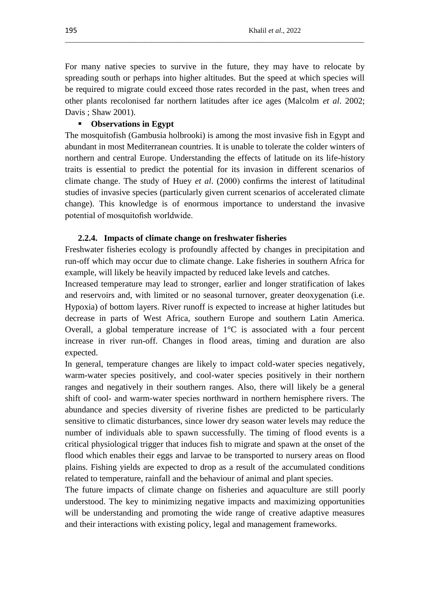For many native species to survive in the future, they may have to relocate by spreading south or perhaps into higher altitudes. But the speed at which species will be required to migrate could exceed those rates recorded in the past, when trees and other plants recolonised far northern latitudes after ice ages (Malcolm *et al*. 2002; Davis ; Shaw 2001).

\_\_\_\_\_\_\_\_\_\_\_\_\_\_\_\_\_\_\_\_\_\_\_\_\_\_\_\_\_\_\_\_\_\_\_\_\_\_\_\_\_\_\_\_\_\_\_\_\_\_\_\_\_\_\_\_\_\_\_\_\_\_\_\_\_\_\_\_\_\_\_\_\_\_\_\_\_\_\_\_\_\_\_

# **Observations in Egypt**

The mosquitofish (Gambusia holbrooki) is among the most invasive fish in Egypt and abundant in most Mediterranean countries. It is unable to tolerate the colder winters of northern and central Europe. Understanding the effects of latitude on its life-history traits is essential to predict the potential for its invasion in different scenarios of climate change. The study of Huey *et al*. (2000) confirms the interest of latitudinal studies of invasive species (particularly given current scenarios of accelerated climate change). This knowledge is of enormous importance to understand the invasive potential of mosquitofish worldwide.

#### **2.2.4. Impacts of climate change on freshwater fisheries**

Freshwater fisheries ecology is profoundly affected by changes in precipitation and run-off which may occur due to climate change. Lake fisheries in southern Africa for example, will likely be heavily impacted by reduced lake levels and catches.

Increased temperature may lead to stronger, earlier and longer stratification of lakes and reservoirs and, with limited or no seasonal turnover, greater deoxygenation (i.e. Hypoxia) of bottom layers. River runoff is expected to increase at higher latitudes but decrease in parts of West Africa, southern Europe and southern Latin America. Overall, a global temperature increase of  $1^{\circ}$ C is associated with a four percent increase in river run-off. Changes in flood areas, timing and duration are also expected.

In general, temperature changes are likely to impact cold-water species negatively, warm-water species positively, and cool-water species positively in their northern ranges and negatively in their southern ranges. Also, there will likely be a general shift of cool- and warm-water species northward in northern hemisphere rivers. The abundance and species diversity of riverine fishes are predicted to be particularly sensitive to climatic disturbances, since lower dry season water levels may reduce the number of individuals able to spawn successfully. The timing of flood events is a critical physiological trigger that induces fish to migrate and spawn at the onset of the flood which enables their eggs and larvae to be transported to nursery areas on flood plains. Fishing yields are expected to drop as a result of the accumulated conditions related to temperature, rainfall and the behaviour of animal and plant species.

The future impacts of climate change on fisheries and aquaculture are still poorly understood. The key to minimizing negative impacts and maximizing opportunities will be understanding and promoting the wide range of creative adaptive measures and their interactions with existing policy, legal and management frameworks.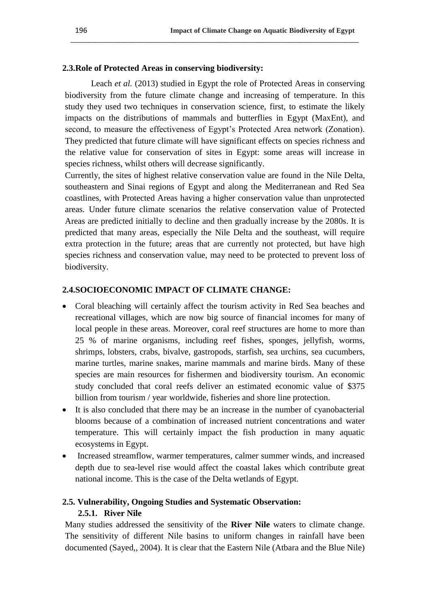# **2.3.Role of Protected Areas in conserving biodiversity:**

Leach *et al.* (2013) studied in Egypt the role of Protected Areas in conserving biodiversity from the future climate change and increasing of temperature. In this study they used two techniques in conservation science, first, to estimate the likely impacts on the distributions of mammals and butterflies in Egypt (MaxEnt), and second, to measure the effectiveness of Egypt's Protected Area network (Zonation). They predicted that future climate will have significant effects on species richness and the relative value for conservation of sites in Egypt: some areas will increase in species richness, whilst others will decrease significantly.

**\_\_\_\_\_\_\_\_\_\_\_\_\_\_\_\_\_\_\_\_\_\_\_\_\_\_\_\_\_\_\_\_\_\_\_\_\_\_\_\_\_\_\_\_\_\_\_\_\_\_\_\_\_\_\_\_\_\_\_\_\_\_\_\_\_\_\_\_\_\_\_\_\_\_\_\_\_\_\_\_**

Currently, the sites of highest relative conservation value are found in the Nile Delta, southeastern and Sinai regions of Egypt and along the Mediterranean and Red Sea coastlines, with Protected Areas having a higher conservation value than unprotected areas. Under future climate scenarios the relative conservation value of Protected Areas are predicted initially to decline and then gradually increase by the 2080s. It is predicted that many areas, especially the Nile Delta and the southeast, will require extra protection in the future; areas that are currently not protected, but have high species richness and conservation value, may need to be protected to prevent loss of biodiversity.

# **2.4.SOCIOECONOMIC IMPACT OF CLIMATE CHANGE:**

- Coral bleaching will certainly affect the tourism activity in Red Sea beaches and recreational villages, which are now big source of financial incomes for many of local people in these areas. Moreover, coral reef structures are home to more than 25 % of marine organisms, including reef fishes, sponges, jellyfish, worms, shrimps, lobsters, crabs, bivalve, gastropods, starfish, sea urchins, sea cucumbers, marine turtles, marine snakes, marine mammals and marine birds. Many of these species are main resources for fishermen and biodiversity tourism. An economic study concluded that coral reefs deliver an estimated economic value of \$375 billion from tourism / year worldwide, fisheries and shore line protection.
- It is also concluded that there may be an increase in the number of cyanobacterial blooms because of a combination of increased nutrient concentrations and water temperature. This will certainly impact the fish production in many aquatic ecosystems in Egypt.
- Increased streamflow, warmer temperatures, calmer summer winds, and increased depth due to sea-level rise would affect the coastal lakes which contribute great national income. This is the case of the Delta wetlands of Egypt.

# **2.5. Vulnerability, Ongoing Studies and Systematic Observation: 2.5.1. River Nile**

Many studies addressed the sensitivity of the **River Nile** waters to climate change. The sensitivity of different Nile basins to uniform changes in rainfall have been documented (Sayed,, 2004). It is clear that the Eastern Nile (Atbara and the Blue Nile)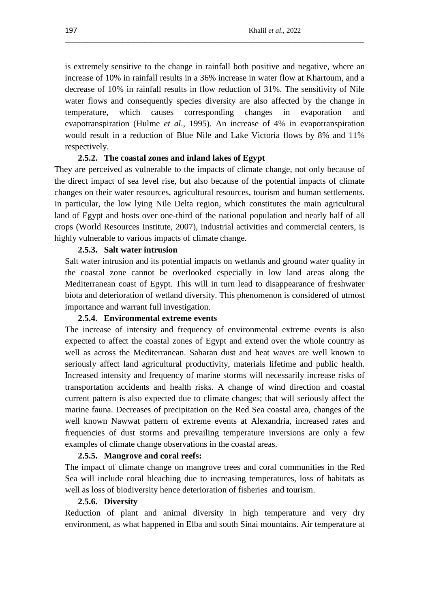is extremely sensitive to the change in rainfall both positive and negative, where an increase of 10% in rainfall results in a 36% increase in water flow at Khartoum, and a decrease of 10% in rainfall results in flow reduction of 31%. The sensitivity of Nile water flows and consequently species diversity are also affected by the change in temperature, which causes corresponding changes in evaporation and evapotranspiration (Hulme *et al*., 1995). An increase of 4% in evapotranspiration would result in a reduction of Blue Nile and Lake Victoria flows by 8% and 11% respectively.

\_\_\_\_\_\_\_\_\_\_\_\_\_\_\_\_\_\_\_\_\_\_\_\_\_\_\_\_\_\_\_\_\_\_\_\_\_\_\_\_\_\_\_\_\_\_\_\_\_\_\_\_\_\_\_\_\_\_\_\_\_\_\_\_\_\_\_\_\_\_\_\_\_\_\_\_\_\_\_\_\_\_\_

## **2.5.2. The coastal zones and inland lakes of Egypt**

They are perceived as vulnerable to the impacts of climate change, not only because of the direct impact of sea level rise, but also because of the potential impacts of climate changes on their water resources, agricultural resources, tourism and human settlements. In particular, the low lying Nile Delta region, which constitutes the main agricultural land of Egypt and hosts over one-third of the national population and nearly half of all crops (World Resources Institute, 2007), industrial activities and commercial centers, is highly vulnerable to various impacts of climate change.

#### **2.5.3. Salt water intrusion**

Salt water intrusion and its potential impacts on wetlands and ground water quality in the coastal zone cannot be overlooked especially in low land areas along the Mediterranean coast of Egypt. This will in turn lead to disappearance of freshwater biota and deterioration of wetland diversity. This phenomenon is considered of utmost importance and warrant full investigation.

#### **2.5.4. Environmental extreme events**

The increase of intensity and frequency of environmental extreme events is also expected to affect the coastal zones of Egypt and extend over the whole country as well as across the Mediterranean. Saharan dust and heat waves are well known to seriously affect land agricultural productivity, materials lifetime and public health. Increased intensity and frequency of marine storms will necessarily increase risks of transportation accidents and health risks. A change of wind direction and coastal current pattern is also expected due to climate changes; that will seriously affect the marine fauna. Decreases of precipitation on the Red Sea coastal area, changes of the well known Nawwat pattern of extreme events at Alexandria, increased rates and frequencies of dust storms and prevailing temperature inversions are only a few examples of climate change observations in the coastal areas.

## **2.5.5. Mangrove and coral reefs:**

The impact of climate change on mangrove trees and coral communities in the Red Sea will include coral bleaching due to increasing temperatures, loss of habitats as well as loss of biodiversity hence deterioration of fisheries and tourism.

#### **2.5.6. Diversity**

Reduction of plant and animal diversity in high temperature and very dry environment, as what happened in Elba and south Sinai mountains. Air temperature at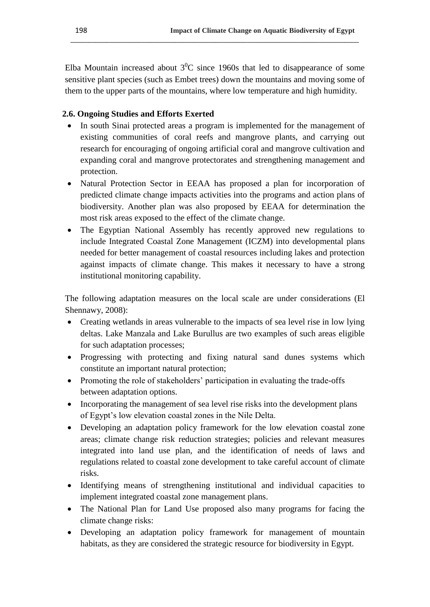Elba Mountain increased about  $3^{0}C$  since 1960s that led to disappearance of some sensitive plant species (such as Embet trees) down the mountains and moving some of them to the upper parts of the mountains, where low temperature and high humidity.

**\_\_\_\_\_\_\_\_\_\_\_\_\_\_\_\_\_\_\_\_\_\_\_\_\_\_\_\_\_\_\_\_\_\_\_\_\_\_\_\_\_\_\_\_\_\_\_\_\_\_\_\_\_\_\_\_\_\_\_\_\_\_\_\_\_\_\_\_\_\_\_\_\_\_\_\_\_\_\_\_**

# **2.6. Ongoing Studies and Efforts Exerted**

- In south Sinai protected areas a program is implemented for the management of existing communities of coral reefs and mangrove plants, and carrying out research for encouraging of ongoing artificial coral and mangrove cultivation and expanding coral and mangrove protectorates and strengthening management and protection.
- Natural Protection Sector in EEAA has proposed a plan for incorporation of predicted climate change impacts activities into the programs and action plans of biodiversity. Another plan was also proposed by EEAA for determination the most risk areas exposed to the effect of the climate change.
- The Egyptian National Assembly has recently approved new regulations to include Integrated Coastal Zone Management (ICZM) into developmental plans needed for better management of coastal resources including lakes and protection against impacts of climate change. This makes it necessary to have a strong institutional monitoring capability.

The following adaptation measures on the local scale are under considerations (El Shennawy, 2008):

- Creating wetlands in areas vulnerable to the impacts of sea level rise in low lying deltas. Lake Manzala and Lake Burullus are two examples of such areas eligible for such adaptation processes;
- Progressing with protecting and fixing natural sand dunes systems which constitute an important natural protection;
- Promoting the role of stakeholders' participation in evaluating the trade-offs between adaptation options.
- Incorporating the management of sea level rise risks into the development plans of Egypt"s low elevation coastal zones in the Nile Delta.
- Developing an adaptation policy framework for the low elevation coastal zone areas; climate change risk reduction strategies; policies and relevant measures integrated into land use plan, and the identification of needs of laws and regulations related to coastal zone development to take careful account of climate risks.
- Identifying means of strengthening institutional and individual capacities to implement integrated coastal zone management plans.
- The National Plan for Land Use proposed also many programs for facing the climate change risks:
- Developing an adaptation policy framework for management of mountain habitats, as they are considered the strategic resource for biodiversity in Egypt.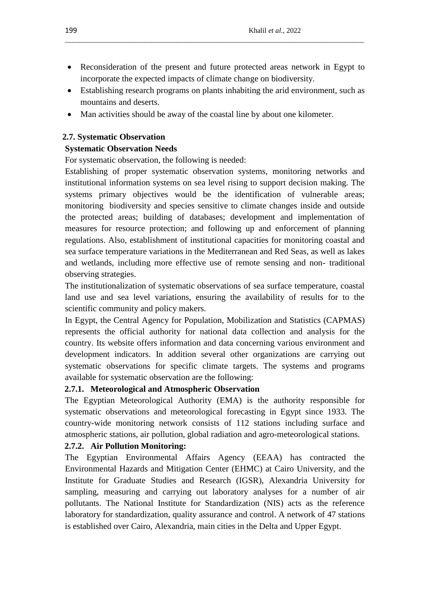Reconsideration of the present and future protected areas network in Egypt to incorporate the expected impacts of climate change on biodiversity.

\_\_\_\_\_\_\_\_\_\_\_\_\_\_\_\_\_\_\_\_\_\_\_\_\_\_\_\_\_\_\_\_\_\_\_\_\_\_\_\_\_\_\_\_\_\_\_\_\_\_\_\_\_\_\_\_\_\_\_\_\_\_\_\_\_\_\_\_\_\_\_\_\_\_\_\_\_\_\_\_\_\_\_

- Establishing research programs on plants inhabiting the arid environment, such as mountains and deserts.
- Man activities should be away of the coastal line by about one kilometer.

# **2.7. Systematic Observation**

# **Systematic Observation Needs**

For systematic observation, the following is needed:

Establishing of proper systematic observation systems, monitoring networks and institutional information systems on sea level rising to support decision making. The systems primary objectives would be the identification of vulnerable areas; monitoring biodiversity and species sensitive to climate changes inside and outside the protected areas; building of databases; development and implementation of measures for resource protection; and following up and enforcement of planning regulations. Also, establishment of institutional capacities for monitoring coastal and sea surface temperature variations in the Mediterranean and Red Seas, as well as lakes and wetlands, including more effective use of remote sensing and non- traditional observing strategies.

The institutionalization of systematic observations of sea surface temperature, coastal land use and sea level variations, ensuring the availability of results for to the scientific community and policy makers.

In Egypt, the Central Agency for Population, Mobilization and Statistics (CAPMAS) represents the official authority for national data collection and analysis for the country. Its website offers information and data concerning various environment and development indicators. In addition several other organizations are carrying out systematic observations for specific climate targets. The systems and programs available for systematic observation are the following:

# **2.7.1. Meteorological and Atmospheric Observation**

The Egyptian Meteorological Authority (EMA) is the authority responsible for systematic observations and meteorological forecasting in Egypt since 1933. The country-wide monitoring network consists of 112 stations including surface and atmospheric stations, air pollution, global radiation and agro-meteorological stations.

# **2.7.2. Air Pollution Monitoring:**

The Egyptian Environmental Affairs Agency (EEAA) has contracted the Environmental Hazards and Mitigation Center (EHMC) at Cairo University, and the Institute for Graduate Studies and Research (IGSR), Alexandria University for sampling, measuring and carrying out laboratory analyses for a number of air pollutants. The National Institute for Standardization (NIS) acts as the reference laboratory for standardization, quality assurance and control. A network of 47 stations is established over Cairo, Alexandria, main cities in the Delta and Upper Egypt.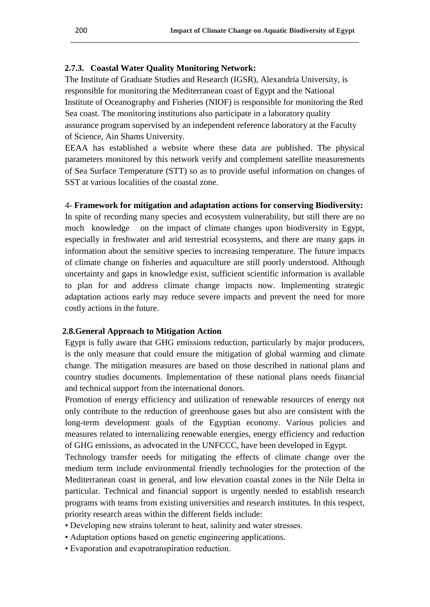# **2.7.3. Coastal Water Quality Monitoring Network:**

The Institute of Graduate Studies and Research (IGSR), Alexandria University, is responsible for monitoring the Mediterranean coast of Egypt and the National Institute of Oceanography and Fisheries (NIOF) is responsible for monitoring the Red Sea coast. The monitoring institutions also participate in a laboratory quality assurance program supervised by an independent reference laboratory at the Faculty of Science, Ain Shams University.

**\_\_\_\_\_\_\_\_\_\_\_\_\_\_\_\_\_\_\_\_\_\_\_\_\_\_\_\_\_\_\_\_\_\_\_\_\_\_\_\_\_\_\_\_\_\_\_\_\_\_\_\_\_\_\_\_\_\_\_\_\_\_\_\_\_\_\_\_\_\_\_\_\_\_\_\_\_\_\_\_**

EEAA has established a website where these data are published. The physical parameters monitored by this network verify and complement satellite measurements of Sea Surface Temperature (STT) so as to provide useful information on changes of SST at various localities of the coastal zone.

### 4- **Framework for mitigation and adaptation actions for conserving Biodiversity:**

In spite of recording many species and ecosystem vulnerability, but still there are no much knowledge on the impact of climate changes upon biodiversity in Egypt, especially in freshwater and arid terrestrial ecosystems, and there are many gaps in information about the sensitive species to increasing temperature. The future impacts of climate change on fisheries and aquaculture are still poorly understood. Although uncertainty and gaps in knowledge exist, sufficient scientific information is available to plan for and address climate change impacts now. Implementing strategic adaptation actions early may reduce severe impacts and prevent the need for more costly actions in the future.

## **2.8.General Approach to Mitigation Action**

Egypt is fully aware that GHG emissions reduction, particularly by major producers, is the only measure that could ensure the mitigation of global warming and climate change. The mitigation measures are based on those described in national plans and country studies documents. Implementation of these national plans needs financial and technical support from the international donors.

Promotion of energy efficiency and utilization of renewable resources of energy not only contribute to the reduction of greenhouse gases but also are consistent with the long-term development goals of the Egyptian economy. Various policies and measures related to internalizing renewable energies, energy efficiency and reduction of GHG emissions, as advocated in the UNFCCC, have been developed in Egypt.

Technology transfer needs for mitigating the effects of climate change over the medium term include environmental friendly technologies for the protection of the Mediterranean coast in general, and low elevation coastal zones in the Nile Delta in particular. Technical and financial support is urgently needed to establish research programs with teams from existing universities and research institutes. In this respect, priority research areas within the different fields include:

- Developing new strains tolerant to heat, salinity and water stresses.
- Adaptation options based on genetic engineering applications.
- Evaporation and evapotranspiration reduction.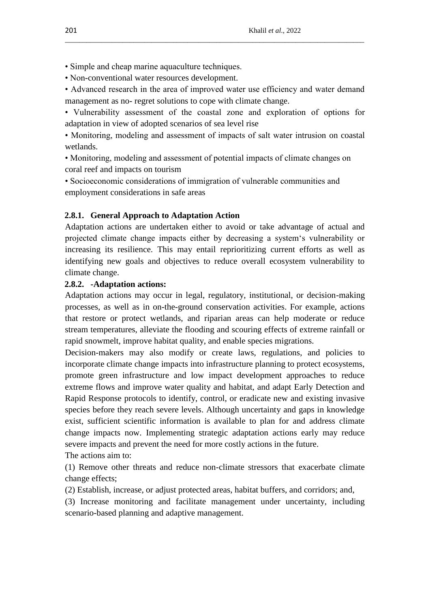- Simple and cheap marine aquaculture techniques.
- Non-conventional water resources development.
- Advanced research in the area of improved water use efficiency and water demand management as no- regret solutions to cope with climate change.

\_\_\_\_\_\_\_\_\_\_\_\_\_\_\_\_\_\_\_\_\_\_\_\_\_\_\_\_\_\_\_\_\_\_\_\_\_\_\_\_\_\_\_\_\_\_\_\_\_\_\_\_\_\_\_\_\_\_\_\_\_\_\_\_\_\_\_\_\_\_\_\_\_\_\_\_\_\_\_\_\_\_\_

• Vulnerability assessment of the coastal zone and exploration of options for adaptation in view of adopted scenarios of sea level rise

• Monitoring, modeling and assessment of impacts of salt water intrusion on coastal wetlands.

• Monitoring, modeling and assessment of potential impacts of climate changes on coral reef and impacts on tourism

• Socioeconomic considerations of immigration of vulnerable communities and employment considerations in safe areas

# **2.8.1. General Approach to Adaptation Action**

Adaptation actions are undertaken either to avoid or take advantage of actual and projected climate change impacts either by decreasing a system"s vulnerability or increasing its resilience. This may entail reprioritizing current efforts as well as identifying new goals and objectives to reduce overall ecosystem vulnerability to climate change.

## **2.8.2. -Adaptation actions:**

Adaptation actions may occur in legal, regulatory, institutional, or decision-making processes, as well as in on-the-ground conservation activities. For example, actions that restore or protect wetlands, and riparian areas can help moderate or reduce stream temperatures, alleviate the flooding and scouring effects of extreme rainfall or rapid snowmelt, improve habitat quality, and enable species migrations.

Decision-makers may also modify or create laws, regulations, and policies to incorporate climate change impacts into infrastructure planning to protect ecosystems, promote green infrastructure and low impact development approaches to reduce extreme flows and improve water quality and habitat, and adapt Early Detection and Rapid Response protocols to identify, control, or eradicate new and existing invasive species before they reach severe levels. Although uncertainty and gaps in knowledge exist, sufficient scientific information is available to plan for and address climate change impacts now. Implementing strategic adaptation actions early may reduce severe impacts and prevent the need for more costly actions in the future. The actions aim to:

(1) Remove other threats and reduce non-climate stressors that exacerbate climate change effects;

(2) Establish, increase, or adjust protected areas, habitat buffers, and corridors; and,

(3) Increase monitoring and facilitate management under uncertainty, including scenario-based planning and adaptive management.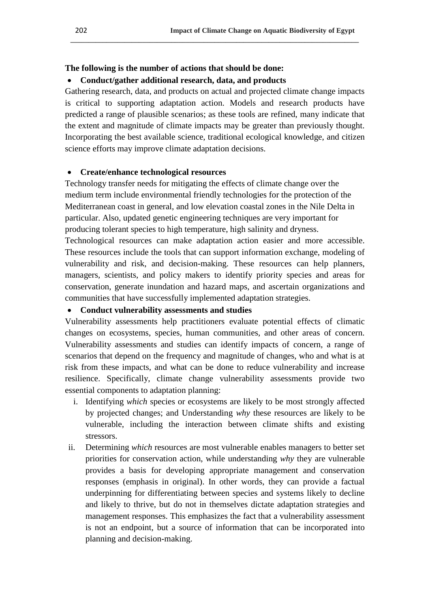# **The following is the number of actions that should be done:**

# **Conduct/gather additional research, data, and products**

Gathering research, data, and products on actual and projected climate change impacts is critical to supporting adaptation action. Models and research products have predicted a range of plausible scenarios; as these tools are refined, many indicate that the extent and magnitude of climate impacts may be greater than previously thought. Incorporating the best available science, traditional ecological knowledge, and citizen science efforts may improve climate adaptation decisions.

**\_\_\_\_\_\_\_\_\_\_\_\_\_\_\_\_\_\_\_\_\_\_\_\_\_\_\_\_\_\_\_\_\_\_\_\_\_\_\_\_\_\_\_\_\_\_\_\_\_\_\_\_\_\_\_\_\_\_\_\_\_\_\_\_\_\_\_\_\_\_\_\_\_\_\_\_\_\_\_\_**

# **Create/enhance technological resources**

Technology transfer needs for mitigating the effects of climate change over the medium term include environmental friendly technologies for the protection of the Mediterranean coast in general, and low elevation coastal zones in the Nile Delta in particular. Also, updated genetic engineering techniques are very important for producing tolerant species to high temperature, high salinity and dryness.

Technological resources can make adaptation action easier and more accessible. These resources include the tools that can support information exchange, modeling of vulnerability and risk, and decision-making. These resources can help planners, managers, scientists, and policy makers to identify priority species and areas for conservation, generate inundation and hazard maps, and ascertain organizations and communities that have successfully implemented adaptation strategies.

## **Conduct vulnerability assessments and studies**

Vulnerability assessments help practitioners evaluate potential effects of climatic changes on ecosystems, species, human communities, and other areas of concern. Vulnerability assessments and studies can identify impacts of concern, a range of scenarios that depend on the frequency and magnitude of changes, who and what is at risk from these impacts, and what can be done to reduce vulnerability and increase resilience. Specifically, climate change vulnerability assessments provide two essential components to adaptation planning:

- i. Identifying *which* species or ecosystems are likely to be most strongly affected by projected changes; and Understanding *why* these resources are likely to be vulnerable, including the interaction between climate shifts and existing stressors.
- ii. Determining *which* resources are most vulnerable enables managers to better set priorities for conservation action, while understanding *why* they are vulnerable provides a basis for developing appropriate management and conservation responses (emphasis in original). In other words, they can provide a factual underpinning for differentiating between species and systems likely to decline and likely to thrive, but do not in themselves dictate adaptation strategies and management responses. This emphasizes the fact that a vulnerability assessment is not an endpoint, but a source of information that can be incorporated into planning and decision-making.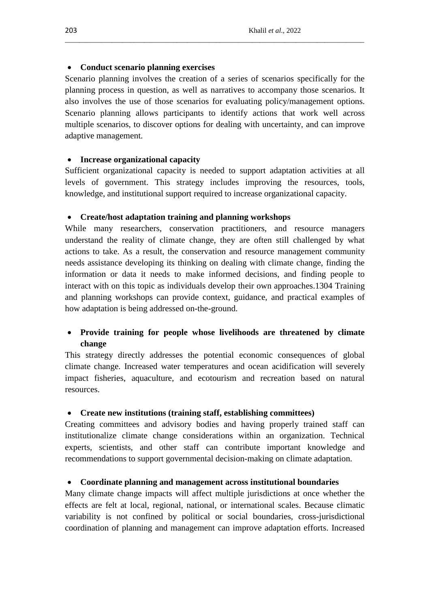# **Conduct scenario planning exercises**

Scenario planning involves the creation of a series of scenarios specifically for the planning process in question, as well as narratives to accompany those scenarios. It also involves the use of those scenarios for evaluating policy/management options. Scenario planning allows participants to identify actions that work well across multiple scenarios, to discover options for dealing with uncertainty, and can improve adaptive management.

\_\_\_\_\_\_\_\_\_\_\_\_\_\_\_\_\_\_\_\_\_\_\_\_\_\_\_\_\_\_\_\_\_\_\_\_\_\_\_\_\_\_\_\_\_\_\_\_\_\_\_\_\_\_\_\_\_\_\_\_\_\_\_\_\_\_\_\_\_\_\_\_\_\_\_\_\_\_\_\_\_\_\_

# **Increase organizational capacity**

Sufficient organizational capacity is needed to support adaptation activities at all levels of government. This strategy includes improving the resources, tools, knowledge, and institutional support required to increase organizational capacity.

# **Create/host adaptation training and planning workshops**

While many researchers, conservation practitioners, and resource managers understand the reality of climate change, they are often still challenged by what actions to take. As a result, the conservation and resource management community needs assistance developing its thinking on dealing with climate change, finding the information or data it needs to make informed decisions, and finding people to interact with on this topic as individuals develop their own approaches.1304 Training and planning workshops can provide context, guidance, and practical examples of how adaptation is being addressed on-the-ground.

# **Provide training for people whose livelihoods are threatened by climate change**

This strategy directly addresses the potential economic consequences of global climate change. Increased water temperatures and ocean acidification will severely impact fisheries, aquaculture, and ecotourism and recreation based on natural resources.

# **Create new institutions (training staff, establishing committees)**

Creating committees and advisory bodies and having properly trained staff can institutionalize climate change considerations within an organization. Technical experts, scientists, and other staff can contribute important knowledge and recommendations to support governmental decision-making on climate adaptation.

# **Coordinate planning and management across institutional boundaries**

Many climate change impacts will affect multiple jurisdictions at once whether the effects are felt at local, regional, national, or international scales. Because climatic variability is not confined by political or social boundaries, cross-jurisdictional coordination of planning and management can improve adaptation efforts. Increased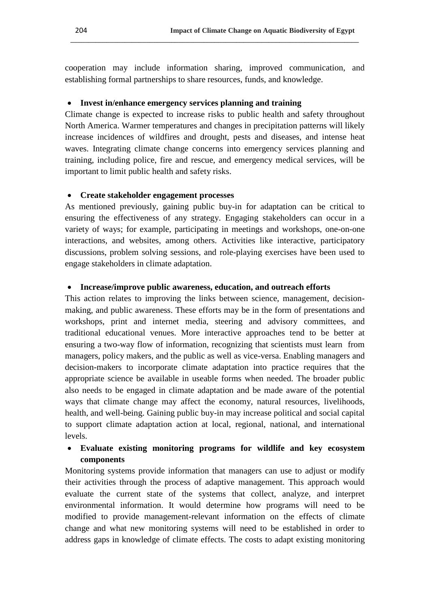cooperation may include information sharing, improved communication, and establishing formal partnerships to share resources, funds, and knowledge.

**\_\_\_\_\_\_\_\_\_\_\_\_\_\_\_\_\_\_\_\_\_\_\_\_\_\_\_\_\_\_\_\_\_\_\_\_\_\_\_\_\_\_\_\_\_\_\_\_\_\_\_\_\_\_\_\_\_\_\_\_\_\_\_\_\_\_\_\_\_\_\_\_\_\_\_\_\_\_\_\_**

# **Invest in/enhance emergency services planning and training**

Climate change is expected to increase risks to public health and safety throughout North America. Warmer temperatures and changes in precipitation patterns will likely increase incidences of wildfires and drought, pests and diseases, and intense heat waves. Integrating climate change concerns into emergency services planning and training, including police, fire and rescue, and emergency medical services, will be important to limit public health and safety risks.

# **Create stakeholder engagement processes**

As mentioned previously, gaining public buy-in for adaptation can be critical to ensuring the effectiveness of any strategy. Engaging stakeholders can occur in a variety of ways; for example, participating in meetings and workshops, one-on-one interactions, and websites, among others. Activities like interactive, participatory discussions, problem solving sessions, and role-playing exercises have been used to engage stakeholders in climate adaptation.

# **Increase/improve public awareness, education, and outreach efforts**

This action relates to improving the links between science, management, decisionmaking, and public awareness. These efforts may be in the form of presentations and workshops, print and internet media, steering and advisory committees, and traditional educational venues. More interactive approaches tend to be better at ensuring a two-way flow of information, recognizing that scientists must learn from managers, policy makers, and the public as well as vice-versa. Enabling managers and decision-makers to incorporate climate adaptation into practice requires that the appropriate science be available in useable forms when needed. The broader public also needs to be engaged in climate adaptation and be made aware of the potential ways that climate change may affect the economy, natural resources, livelihoods, health, and well-being. Gaining public buy-in may increase political and social capital to support climate adaptation action at local, regional, national, and international levels.

# **Evaluate existing monitoring programs for wildlife and key ecosystem components**

Monitoring systems provide information that managers can use to adjust or modify their activities through the process of adaptive management. This approach would evaluate the current state of the systems that collect, analyze, and interpret environmental information. It would determine how programs will need to be modified to provide management-relevant information on the effects of climate change and what new monitoring systems will need to be established in order to address gaps in knowledge of climate effects. The costs to adapt existing monitoring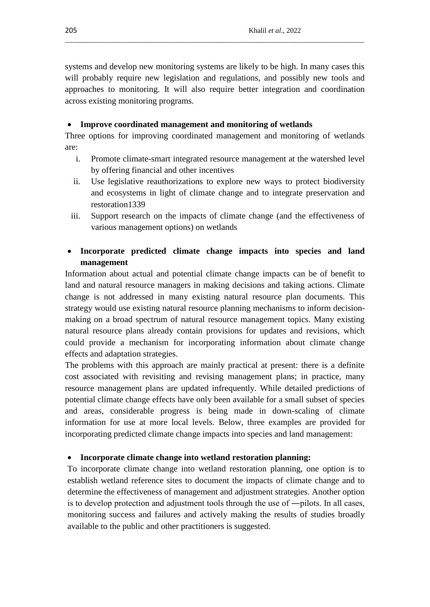systems and develop new monitoring systems are likely to be high. In many cases this will probably require new legislation and regulations, and possibly new tools and approaches to monitoring. It will also require better integration and coordination across existing monitoring programs.

\_\_\_\_\_\_\_\_\_\_\_\_\_\_\_\_\_\_\_\_\_\_\_\_\_\_\_\_\_\_\_\_\_\_\_\_\_\_\_\_\_\_\_\_\_\_\_\_\_\_\_\_\_\_\_\_\_\_\_\_\_\_\_\_\_\_\_\_\_\_\_\_\_\_\_\_\_\_\_\_\_\_\_

# **Improve coordinated management and monitoring of wetlands**

Three options for improving coordinated management and monitoring of wetlands are:

- i. Promote climate-smart integrated resource management at the watershed level by offering financial and other incentives
- ii. Use legislative reauthorizations to explore new ways to protect biodiversity and ecosystems in light of climate change and to integrate preservation and restoration1339
- iii. Support research on the impacts of climate change (and the effectiveness of various management options) on wetlands

# **Incorporate predicted climate change impacts into species and land management**

Information about actual and potential climate change impacts can be of benefit to land and natural resource managers in making decisions and taking actions. Climate change is not addressed in many existing natural resource plan documents. This strategy would use existing natural resource planning mechanisms to inform decisionmaking on a broad spectrum of natural resource management topics. Many existing natural resource plans already contain provisions for updates and revisions, which could provide a mechanism for incorporating information about climate change effects and adaptation strategies.

The problems with this approach are mainly practical at present: there is a definite cost associated with revisiting and revising management plans; in practice, many resource management plans are updated infrequently. While detailed predictions of potential climate change effects have only been available for a small subset of species and areas, considerable progress is being made in down-scaling of climate information for use at more local levels. Below, three examples are provided for incorporating predicted climate change impacts into species and land management:

# **Incorporate climate change into wetland restoration planning:**

To incorporate climate change into wetland restoration planning, one option is to establish wetland reference sites to document the impacts of climate change and to determine the effectiveness of management and adjustment strategies. Another option is to develop protection and adjustment tools through the use of ―pilots. In all cases, monitoring success and failures and actively making the results of studies broadly available to the public and other practitioners is suggested.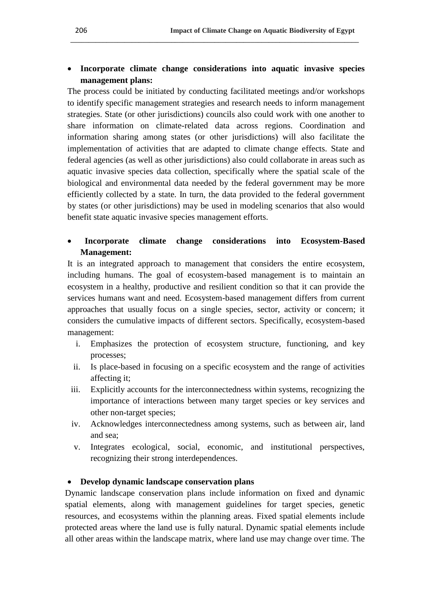# **Incorporate climate change considerations into aquatic invasive species management plans:**

**\_\_\_\_\_\_\_\_\_\_\_\_\_\_\_\_\_\_\_\_\_\_\_\_\_\_\_\_\_\_\_\_\_\_\_\_\_\_\_\_\_\_\_\_\_\_\_\_\_\_\_\_\_\_\_\_\_\_\_\_\_\_\_\_\_\_\_\_\_\_\_\_\_\_\_\_\_\_\_\_**

The process could be initiated by conducting facilitated meetings and/or workshops to identify specific management strategies and research needs to inform management strategies. State (or other jurisdictions) councils also could work with one another to share information on climate-related data across regions. Coordination and information sharing among states (or other jurisdictions) will also facilitate the implementation of activities that are adapted to climate change effects. State and federal agencies (as well as other jurisdictions) also could collaborate in areas such as aquatic invasive species data collection, specifically where the spatial scale of the biological and environmental data needed by the federal government may be more efficiently collected by a state. In turn, the data provided to the federal government by states (or other jurisdictions) may be used in modeling scenarios that also would benefit state aquatic invasive species management efforts.

# **Incorporate climate change considerations into Ecosystem-Based Management:**

It is an integrated approach to management that considers the entire ecosystem, including humans. The goal of ecosystem-based management is to maintain an ecosystem in a healthy, productive and resilient condition so that it can provide the services humans want and need. Ecosystem-based management differs from current approaches that usually focus on a single species, sector, activity or concern; it considers the cumulative impacts of different sectors. Specifically, ecosystem-based management:

- i. Emphasizes the protection of ecosystem structure, functioning, and key processes;
- ii. Is place-based in focusing on a specific ecosystem and the range of activities affecting it;
- iii. Explicitly accounts for the interconnectedness within systems, recognizing the importance of interactions between many target species or key services and other non-target species;
- iv. Acknowledges interconnectedness among systems, such as between air, land and sea;
- v. Integrates ecological, social, economic, and institutional perspectives, recognizing their strong interdependences.

# **Develop dynamic landscape conservation plans**

Dynamic landscape conservation plans include information on fixed and dynamic spatial elements, along with management guidelines for target species, genetic resources, and ecosystems within the planning areas. Fixed spatial elements include protected areas where the land use is fully natural. Dynamic spatial elements include all other areas within the landscape matrix, where land use may change over time. The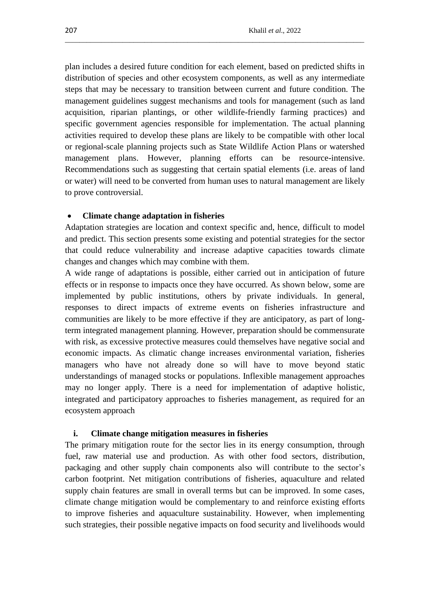plan includes a desired future condition for each element, based on predicted shifts in distribution of species and other ecosystem components, as well as any intermediate steps that may be necessary to transition between current and future condition. The management guidelines suggest mechanisms and tools for management (such as land acquisition, riparian plantings, or other wildlife-friendly farming practices) and specific government agencies responsible for implementation. The actual planning activities required to develop these plans are likely to be compatible with other local or regional-scale planning projects such as State Wildlife Action Plans or watershed management plans. However, planning efforts can be resource-intensive. Recommendations such as suggesting that certain spatial elements (i.e. areas of land or water) will need to be converted from human uses to natural management are likely to prove controversial.

\_\_\_\_\_\_\_\_\_\_\_\_\_\_\_\_\_\_\_\_\_\_\_\_\_\_\_\_\_\_\_\_\_\_\_\_\_\_\_\_\_\_\_\_\_\_\_\_\_\_\_\_\_\_\_\_\_\_\_\_\_\_\_\_\_\_\_\_\_\_\_\_\_\_\_\_\_\_\_\_\_\_\_

#### **Climate change adaptation in fisheries**

Adaptation strategies are location and context specific and, hence, difficult to model and predict. This section presents some existing and potential strategies for the sector that could reduce vulnerability and increase adaptive capacities towards climate changes and changes which may combine with them.

A wide range of adaptations is possible, either carried out in anticipation of future effects or in response to impacts once they have occurred. As shown below, some are implemented by public institutions, others by private individuals. In general, responses to direct impacts of extreme events on fisheries infrastructure and communities are likely to be more effective if they are anticipatory, as part of longterm integrated management planning. However, preparation should be commensurate with risk, as excessive protective measures could themselves have negative social and economic impacts. As climatic change increases environmental variation, fisheries managers who have not already done so will have to move beyond static understandings of managed stocks or populations. Inflexible management approaches may no longer apply. There is a need for implementation of adaptive holistic, integrated and participatory approaches to fisheries management, as required for an ecosystem approach

#### **i. Climate change mitigation measures in fisheries**

The primary mitigation route for the sector lies in its energy consumption, through fuel, raw material use and production. As with other food sectors, distribution, packaging and other supply chain components also will contribute to the sector's carbon footprint. Net mitigation contributions of fisheries, aquaculture and related supply chain features are small in overall terms but can be improved. In some cases, climate change mitigation would be complementary to and reinforce existing efforts to improve fisheries and aquaculture sustainability. However, when implementing such strategies, their possible negative impacts on food security and livelihoods would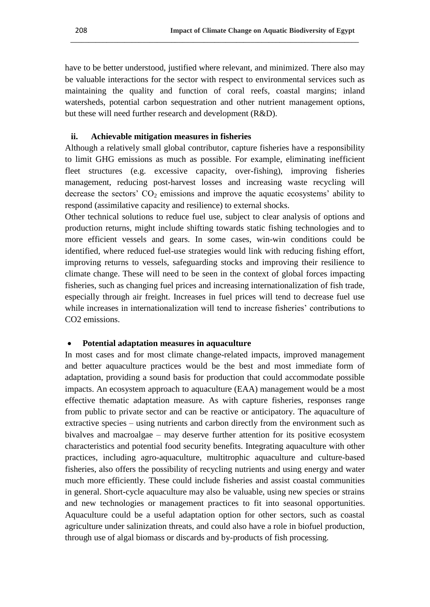have to be better understood, justified where relevant, and minimized. There also may be valuable interactions for the sector with respect to environmental services such as maintaining the quality and function of coral reefs, coastal margins; inland watersheds, potential carbon sequestration and other nutrient management options, but these will need further research and development (R&D).

**\_\_\_\_\_\_\_\_\_\_\_\_\_\_\_\_\_\_\_\_\_\_\_\_\_\_\_\_\_\_\_\_\_\_\_\_\_\_\_\_\_\_\_\_\_\_\_\_\_\_\_\_\_\_\_\_\_\_\_\_\_\_\_\_\_\_\_\_\_\_\_\_\_\_\_\_\_\_\_\_**

# **ii. Achievable mitigation measures in fisheries**

Although a relatively small global contributor, capture fisheries have a responsibility to limit GHG emissions as much as possible. For example, eliminating inefficient fleet structures (e.g. excessive capacity, over-fishing), improving fisheries management, reducing post-harvest losses and increasing waste recycling will decrease the sectors'  $CO<sub>2</sub>$  emissions and improve the aquatic ecosystems' ability to respond (assimilative capacity and resilience) to external shocks.

Other technical solutions to reduce fuel use, subject to clear analysis of options and production returns, might include shifting towards static fishing technologies and to more efficient vessels and gears. In some cases, win-win conditions could be identified, where reduced fuel-use strategies would link with reducing fishing effort, improving returns to vessels, safeguarding stocks and improving their resilience to climate change. These will need to be seen in the context of global forces impacting fisheries, such as changing fuel prices and increasing internationalization of fish trade, especially through air freight. Increases in fuel prices will tend to decrease fuel use while increases in internationalization will tend to increase fisheries" contributions to CO2 emissions.

## **Potential adaptation measures in aquaculture**

In most cases and for most climate change-related impacts, improved management and better aquaculture practices would be the best and most immediate form of adaptation, providing a sound basis for production that could accommodate possible impacts. An ecosystem approach to aquaculture (EAA) management would be a most effective thematic adaptation measure. As with capture fisheries, responses range from public to private sector and can be reactive or anticipatory. The aquaculture of extractive species – using nutrients and carbon directly from the environment such as bivalves and macroalgae – may deserve further attention for its positive ecosystem characteristics and potential food security benefits. Integrating aquaculture with other practices, including agro-aquaculture, multitrophic aquaculture and culture-based fisheries, also offers the possibility of recycling nutrients and using energy and water much more efficiently. These could include fisheries and assist coastal communities in general. Short-cycle aquaculture may also be valuable, using new species or strains and new technologies or management practices to fit into seasonal opportunities. Aquaculture could be a useful adaptation option for other sectors, such as coastal agriculture under salinization threats, and could also have a role in biofuel production, through use of algal biomass or discards and by-products of fish processing.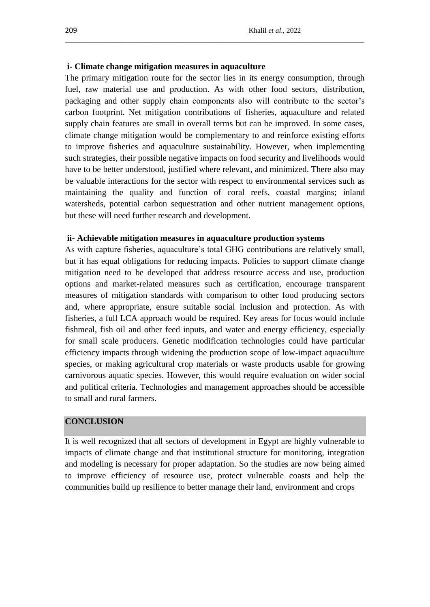### **i- Climate change mitigation measures in aquaculture**

The primary mitigation route for the sector lies in its energy consumption, through fuel, raw material use and production. As with other food sectors, distribution, packaging and other supply chain components also will contribute to the sector"s carbon footprint. Net mitigation contributions of fisheries, aquaculture and related supply chain features are small in overall terms but can be improved. In some cases, climate change mitigation would be complementary to and reinforce existing efforts to improve fisheries and aquaculture sustainability. However, when implementing such strategies, their possible negative impacts on food security and livelihoods would have to be better understood, justified where relevant, and minimized. There also may be valuable interactions for the sector with respect to environmental services such as maintaining the quality and function of coral reefs, coastal margins; inland watersheds, potential carbon sequestration and other nutrient management options, but these will need further research and development.

\_\_\_\_\_\_\_\_\_\_\_\_\_\_\_\_\_\_\_\_\_\_\_\_\_\_\_\_\_\_\_\_\_\_\_\_\_\_\_\_\_\_\_\_\_\_\_\_\_\_\_\_\_\_\_\_\_\_\_\_\_\_\_\_\_\_\_\_\_\_\_\_\_\_\_\_\_\_\_\_\_\_\_

#### **ii- Achievable mitigation measures in aquaculture production systems**

As with capture fisheries, aquaculture's total GHG contributions are relatively small, but it has equal obligations for reducing impacts. Policies to support climate change mitigation need to be developed that address resource access and use, production options and market-related measures such as certification, encourage transparent measures of mitigation standards with comparison to other food producing sectors and, where appropriate, ensure suitable social inclusion and protection. As with fisheries, a full LCA approach would be required. Key areas for focus would include fishmeal, fish oil and other feed inputs, and water and energy efficiency, especially for small scale producers. Genetic modification technologies could have particular efficiency impacts through widening the production scope of low-impact aquaculture species, or making agricultural crop materials or waste products usable for growing carnivorous aquatic species. However, this would require evaluation on wider social and political criteria. Technologies and management approaches should be accessible to small and rural farmers.

# **CONCLUSION**

It is well recognized that all sectors of development in Egypt are highly vulnerable to impacts of climate change and that institutional structure for monitoring, integration and modeling is necessary for proper adaptation. So the studies are now being aimed to improve efficiency of resource use, protect vulnerable coasts and help the communities build up resilience to better manage their land, environment and crops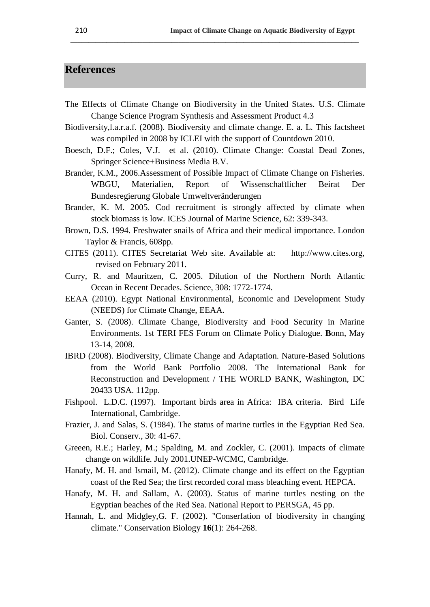# **References**

The Effects of Climate Change on Biodiversity in the United States. U.S. Climate Change Science Program Synthesis and Assessment Product 4.3

**\_\_\_\_\_\_\_\_\_\_\_\_\_\_\_\_\_\_\_\_\_\_\_\_\_\_\_\_\_\_\_\_\_\_\_\_\_\_\_\_\_\_\_\_\_\_\_\_\_\_\_\_\_\_\_\_\_\_\_\_\_\_\_\_\_\_\_\_\_\_\_\_\_\_\_\_\_\_\_\_**

- Biodiversity,l.a.r.a.f. (2008). Biodiversity and climate change. E. a. L. This factsheet was compiled in 2008 by ICLEI with the support of Countdown 2010.
- Boesch, D.F.; Coles, V.J. et al. (2010). Climate Change: Coastal Dead Zones, Springer Science+Business Media B.V.
- Brander, K.M., 2006.Assessment of Possible Impact of Climate Change on Fisheries. WBGU, Materialien, Report of Wissenschaftlicher Beirat Der Bundesregierung Globale Umweltveränderungen
- Brander, K. M. 2005. Cod recruitment is strongly affected by climate when stock biomass is low. ICES Journal of Marine Science, 62: 339-343.
- Brown, D.S. 1994. Freshwater snails of Africa and their medical importance. London Taylor & Francis, 608pp.
- CITES (2011). CITES Secretariat Web site. Available at: http://www.cites.org, revised on February 2011.
- Curry, R. and Mauritzen, C. 2005. Dilution of the Northern North Atlantic Ocean in Recent Decades. Science, 308: 1772-1774.
- EEAA (2010). Egypt National Environmental, Economic and Development Study (NEEDS) for Climate Change, EEAA.
- Ganter, S. (2008). Climate Change, Biodiversity and Food Security in Marine Environments. 1st TERI FES Forum on Climate Policy Dialogue. **B**onn, May 13-14, 2008.
- IBRD (2008). Biodiversity, Climate Change and Adaptation. Nature-Based Solutions from the World Bank Portfolio 2008. The International Bank for Reconstruction and Development / THE WORLD BANK, Washington, DC 20433 USA. 112pp.
- Fishpool. L.D.C. (1997). Important birds area in Africa: IBA criteria. Bird Life International, Cambridge.
- Frazier, J. and Salas, S. (1984). The status of marine turtles in the Egyptian Red Sea. Biol. Conserv., 30: 41-67.
- Greeen, R.E.; Harley, M.; Spalding, M. and Zockler, C. (2001). Impacts of climate change on wildlife. July 2001.UNEP-WCMC, Cambridge.
- Hanafy, M. H. and Ismail, M. (2012). Climate change and its effect on the Egyptian coast of the Red Sea; the first recorded coral mass bleaching event. HEPCA.
- Hanafy, M. H. and Sallam, A. (2003). Status of marine turtles nesting on the Egyptian beaches of the Red Sea. National Report to PERSGA, 45 pp.
- Hannah, L. and Midgley,G. F. (2002). "Conserfation of biodiversity in changing climate." Conservation Biology **16**(1): 264-268.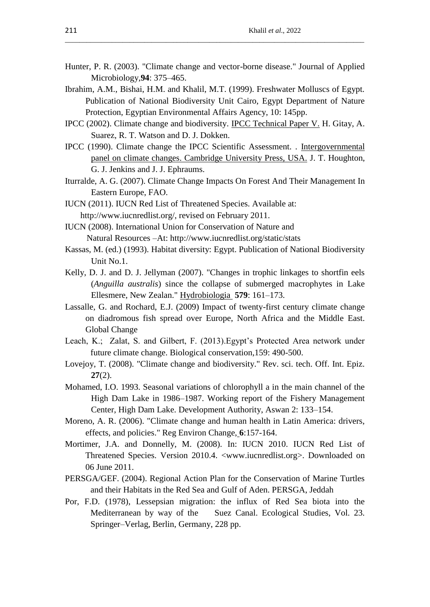Hunter, P. R. (2003). "Climate change and vector-borne disease." Journal of Applied Microbiology,**94**: 375–465.

\_\_\_\_\_\_\_\_\_\_\_\_\_\_\_\_\_\_\_\_\_\_\_\_\_\_\_\_\_\_\_\_\_\_\_\_\_\_\_\_\_\_\_\_\_\_\_\_\_\_\_\_\_\_\_\_\_\_\_\_\_\_\_\_\_\_\_\_\_\_\_\_\_\_\_\_\_\_\_\_\_\_\_

- Ibrahim, A.M., Bishai, H.M. and Khalil, M.T. (1999). Freshwater Molluscs of Egypt. Publication of National Biodiversity Unit Cairo, Egypt Department of Nature Protection, Egyptian Environmental Affairs Agency, 10: 145pp.
- IPCC (2002). Climate change and biodiversity. IPCC Technical Paper V. H. Gitay, A. Suarez, R. T. Watson and D. J. Dokken.
- IPCC (1990). Climate change the IPCC Scientific Assessment. . Intergovernmental panel on climate changes. Cambridge University Press, USA. J. T. Houghton, G. J. Jenkins and J. J. Ephraums.
- Iturralde, A. G. (2007). Climate Change Impacts On Forest And Their Management In Eastern Europe, FAO.
- IUCN (2011). IUCN Red List of Threatened Species. Available at: http://www.iucnredlist.org/, revised on February 2011.
- IUCN (2008). International Union for Conservation of Nature and Natural Resources –At: http://www.iucnredlist.org/static/stats
- Kassas, M. (ed.) (1993). Habitat diversity: Egypt. Publication of National Biodiversity Unit No.1.
- Kelly, D. J. and D. J. Jellyman (2007). "Changes in trophic linkages to shortfin eels (*Anguilla australis*) since the collapse of submerged macrophytes in Lake Ellesmere, New Zealan." Hydrobiologia **579**: 161–173.
- Lassalle, G. and Rochard, E.J. (2009) Impact of twenty-first century climate change on diadromous fish spread over Europe, North Africa and the Middle East. Global Change
- Leach, K.; Zalat, S. and Gilbert, F. (2013). Egypt's Protected Area network under future climate change. Biological conservation,159: 490-500.
- Lovejoy, T. (2008). "Climate change and biodiversity." Rev. sci. tech. Off. Int. Epiz. **27**(2).
- Mohamed, I.O. 1993. Seasonal variations of chlorophyll a in the main channel of the High Dam Lake in 1986–1987. Working report of the Fishery Management Center, High Dam Lake. Development Authority, Aswan 2: 133–154.
- Moreno, A. R. (2006). "Climate change and human health in Latin America: drivers, effects, and policies." Reg Environ Change, **6**:157-164.
- Mortimer, J.A. and Donnelly, M. (2008). In: IUCN 2010. IUCN Red List of Threatened Species. Version 2010.4. <www.iucnredlist.org>. Downloaded on 06 June 2011.
- PERSGA/GEF. (2004). Regional Action Plan for the Conservation of Marine Turtles and their Habitats in the Red Sea and Gulf of Aden. PERSGA, Jeddah
- Por, F.D. (1978), Lessepsian migration: the influx of Red Sea biota into the Mediterranean by way of the Suez Canal. Ecological Studies, Vol. 23. Springer–Verlag, Berlin, Germany, 228 pp.